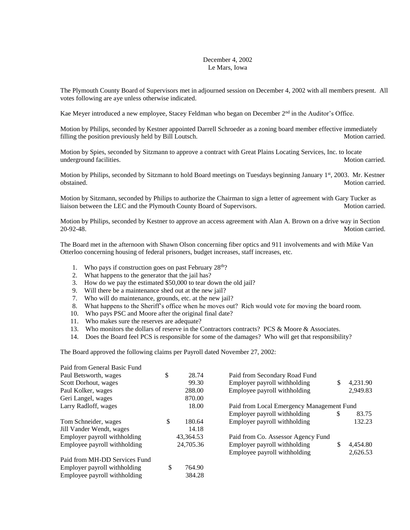## December 4, 2002 Le Mars, Iowa

The Plymouth County Board of Supervisors met in adjourned session on December 4, 2002 with all members present. All votes following are aye unless otherwise indicated.

Kae Meyer introduced a new employee, Stacey Feldman who began on December 2<sup>nd</sup> in the Auditor's Office.

Motion by Philips, seconded by Kestner appointed Darrell Schroeder as a zoning board member effective immediately filling the position previously held by Bill Loutsch. Motion carried. Motion carried.

Motion by Spies, seconded by Sitzmann to approve a contract with Great Plains Locating Services, Inc. to locate underground facilities. Motion carried.

Motion by Philips, seconded by Sitzmann to hold Board meetings on Tuesdays beginning January  $1<sup>st</sup>$ , 2003. Mr. Kestner obstained. Motion carried.

Motion by Sitzmann, seconded by Philips to authorize the Chairman to sign a letter of agreement with Gary Tucker as liaison between the LEC and the Plymouth County Board of Supervisors. Motion carried.

Motion by Philips, seconded by Kestner to approve an access agreement with Alan A. Brown on a drive way in Section 20-92-48. Motion carried.

The Board met in the afternoon with Shawn Olson concerning fiber optics and 911 involvements and with Mike Van Otterloo concerning housing of federal prisoners, budget increases, staff increases, etc.

- 1. Who pays if construction goes on past February  $28<sup>th</sup>$ ?
- 2. What happens to the generator that the jail has?
- 3. How do we pay the estimated \$50,000 to tear down the old jail?
- 9. Will there be a maintenance shed out at the new jail?
- 7. Who will do maintenance, grounds, etc. at the new jail?
- 8. What happens to the Sheriff's office when he moves out? Rich would vote for moving the board room.
- 10. Who pays PSC and Moore after the original final date?
- 11. Who makes sure the reserves are adequate?
- 13. Who monitors the dollars of reserve in the Contractors contracts? PCS & Moore & Associates.
- 14. Does the Board feel PCS is responsible for some of the damages? Who will get that responsibility?

The Board approved the following claims per Payroll dated November 27, 2002:

| Paid from General Basic Fund  |                                                    |                                    |    |          |  |  |
|-------------------------------|----------------------------------------------------|------------------------------------|----|----------|--|--|
| Paul Betsworth, wages         | \$<br>28.74                                        | Paid from Secondary Road Fund      |    |          |  |  |
| Scott Dorhout, wages          | 99.30                                              | Employer payroll withholding       | \$ | 4,231.90 |  |  |
| Paul Kolker, wages            | 288.00                                             | Employee payroll withholding       |    | 2,949.83 |  |  |
| Geri Langel, wages            | 870.00                                             |                                    |    |          |  |  |
| Larry Radloff, wages          | 18.00<br>Paid from Local Emergency Management Fund |                                    |    |          |  |  |
|                               |                                                    | Employer payroll withholding       | S  | 83.75    |  |  |
| Tom Schneider, wages          | \$<br>180.64                                       | Employer payroll withholding       |    | 132.23   |  |  |
| Jill Vander Wendt, wages      | 14.18                                              |                                    |    |          |  |  |
| Employer payroll withholding  | 43,364.53                                          | Paid from Co. Assessor Agency Fund |    |          |  |  |
| Employee payroll withholding  | 24,705.36                                          | Employer payroll withholding       | \$ | 4,454.80 |  |  |
|                               |                                                    | Employee payroll withholding       |    | 2,626.53 |  |  |
| Paid from MH-DD Services Fund |                                                    |                                    |    |          |  |  |
| Employer payroll withholding  | \$<br>764.90                                       |                                    |    |          |  |  |
| Employee payroll withholding  | 384.28                                             |                                    |    |          |  |  |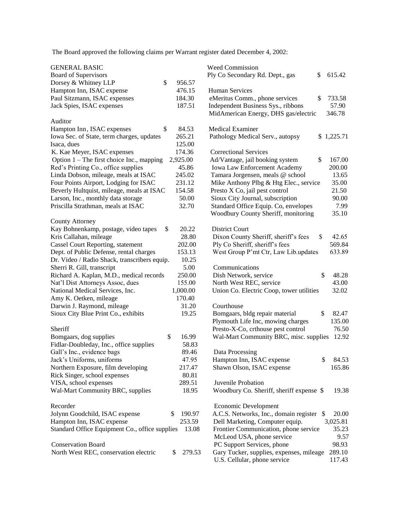The Board approved the following claims per Warrant register dated December 4, 2002:

| <b>GENERAL BASIC</b>                           |              | <b>Weed Commission</b>                              |
|------------------------------------------------|--------------|-----------------------------------------------------|
| <b>Board of Supervisors</b>                    |              | Ply Co Secondary Rd. Dept., gas<br>\$<br>615.42     |
| Dorsey & Whitney LLP                           | \$<br>956.57 |                                                     |
| Hampton Inn, ISAC expense                      | 476.15       | Human Services                                      |
| Paul Sitzmann, ISAC expenses                   | 184.30       | eMeritus Comm., phone services<br>733.58<br>\$      |
| Jack Spies, ISAC expenses                      | 187.51       | Independent Business Sys., ribbons<br>57.90         |
|                                                |              | 346.78<br>MidAmerican Energy, DHS gas/electric      |
| Auditor                                        |              |                                                     |
| Hampton Inn, ISAC expenses                     | \$<br>84.53  | Medical Examiner                                    |
| Iowa Sec. of State, term charges, updates      | 265.21       | Pathology Medical Serv., autopsy<br>\$1,225.71      |
| Isaca, dues                                    | 125.00       |                                                     |
| K. Kae Meyer, ISAC expenses                    | 174.36       | <b>Correctional Services</b>                        |
| Option $1$ – The first choice Inc., mapping    | 2,925.00     | Ad/Vantage, jail booking system<br>\$<br>167.00     |
| Red's Printing Co., office supplies            | 45.86        | Iowa Law Enforcement Academy<br>200.00              |
| Linda Dobson, mileage, meals at ISAC           | 245.02       | Tamara Jorgensen, meals @ school<br>13.65           |
| Four Points Airport, Lodging for ISAC          | 231.12       | Mike Anthony Plbg & Htg Elec., service<br>35.00     |
| Beverly Hultquist, mileage, meals at ISAC      | 154.58       | Presto X Co, jail pest control<br>21.50             |
| Larson, Inc., monthly data storage             | 50.00        | Sioux City Journal, subscription<br>90.00           |
| Priscilla Strathman, meals at ISAC             | 32.70        | Standard Office Equip. Co, envelopes<br>7.99        |
|                                                |              | Woodbury County Sheriff, monitoring<br>35.10        |
| <b>County Attorney</b>                         |              |                                                     |
| Kay Bohnenkamp, postage, video tapes           | \$<br>20.22  | <b>District Court</b>                               |
| Kris Callahan, mileage                         | 28.80        | Dixon County Sheriff, sheriff's fees<br>\$<br>42.65 |
| <b>Cassel Court Reporting, statement</b>       | 202.00       | 569.84<br>Ply Co Sheriff, sheriff's fees            |
| Dept. of Public Defense, rental charges        | 153.13       | 633.89<br>West Group P'mt Ctr, Law Lib.updates      |
| Dr. Video / Radio Shack, transcribers equip.   | 10.25        |                                                     |
| Sherri R. Gill, transcript                     | 5.00         | Communications                                      |
| Richard A. Kaplan, M.D., medical records       | 250.00       | \$<br>Dish Network, service<br>48.28                |
| Nat'l Dist Attorneys Assoc, dues               | 155.00       | 43.00<br>North West REC, service                    |
| National Medical Services, Inc.                | 1,000.00     | Union Co. Electric Coop, tower utilities<br>32.02   |
| Amy K. Oetken, mileage                         | 170.40       |                                                     |
| Darwin J. Raymond, mileage                     | 31.20        | Courthouse                                          |
| Sioux City Blue Print Co., exhibits            | 19.25        | \$<br>82.47<br>Bomgaars, bldg repair material       |
|                                                |              | Plymouth Life Inc, mowing charges<br>135.00         |
| Sheriff                                        |              | Presto-X-Co, crthouse pest control<br>76.50         |
| Bomgaars, dog supplies                         | \$<br>16.99  | Wal-Mart Community BRC, misc. supplies<br>12.92     |
| Fidlar-Doubleday, Inc., office supplies        | 58.83        |                                                     |
| Gall's Inc., evidence bags                     | 89.46        | Data Processing                                     |
| Jack's Uniforms, uniforms                      | 47.95        | \$<br>Hampton Inn, ISAC expense<br>84.53            |
| Northern Exposure, film developing             | 217.47       | Shawn Olson, ISAC expense<br>165.86                 |
| Rick Singer, school expenses                   | 80.81        |                                                     |
| VISA, school expenses                          | 289.51       | Juvenile Probation                                  |
| Wal-Mart Community BRC, supplies               | 18.95        | Woodbury Co. Sheriff, sheriff expense \$<br>19.38   |
|                                                |              |                                                     |
| Recorder                                       |              | Economic Development                                |
| Jolynn Goodchild, ISAC expense                 | 190.97<br>\$ | A.C.S. Networks, Inc., domain register \$<br>20.00  |
| Hampton Inn, ISAC expense                      | 253.59       | Dell Marketing, Computer equip.<br>3,025.81         |
| Standard Office Equipment Co., office supplies | 13.08        | Frontier Communication, phone service<br>35.23      |
|                                                |              | McLeod USA, phone service<br>9.57                   |
| <b>Conservation Board</b>                      |              | PC Support Services, phone<br>98.93                 |
| North West REC, conservation electric          | 279.53<br>\$ | 289.10<br>Gary Tucker, supplies, expenses, mileage  |
|                                                |              | U.S. Cellular, phone service<br>117.43              |
|                                                |              |                                                     |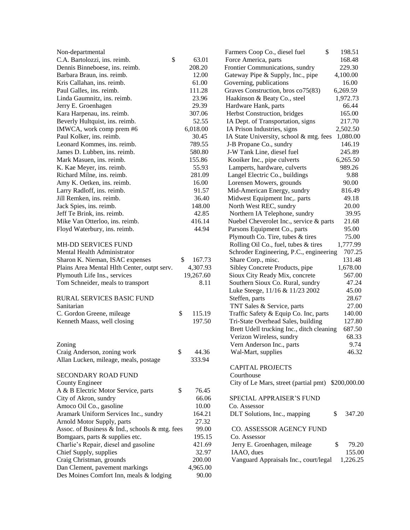| Non-departmental                               |              | \$<br>Farmers Coop Co., diesel fuel                | 198.51      |
|------------------------------------------------|--------------|----------------------------------------------------|-------------|
| C.A. Bartolozzi, ins. reimb.                   | \$<br>63.01  | Force America, parts                               | 168.48      |
| Dennis Binneboese, ins. reimb.                 | 208.20       | Frontier Communications, sundry                    | 229.30      |
| Barbara Braun, ins. reimb.                     | 12.00        | Gateway Pipe & Supply, Inc., pipe                  | 4,100.00    |
| Kris Callahan, ins. reimb.                     | 61.00        | Governing, publications                            | 16.00       |
| Paul Galles, ins. reimb.                       | 111.28       | Graves Construction, bros co75(83)                 | 6,269.59    |
| Linda Gaumnitz, ins. reimb.                    | 23.96        | Haakinson & Beaty Co., steel                       | 1,972.73    |
| Jerry E. Groenhagen                            | 29.39        | Hardware Hank, parts                               | 66.44       |
| Kara Harpenau, ins. reimb.                     | 307.06       | Herbst Construction, bridges                       | 165.00      |
| Beverly Hultquist, ins. reimb.                 | 52.55        | IA Dept. of Transportation, signs                  | 217.70      |
| IMWCA, work comp prem #6                       | 6,018.00     | IA Prison Industries, signs                        | 2,502.50    |
| Paul Kolker, ins. reimb.                       | 30.45        | IA State University, school & mtg. fees            | 1,080.00    |
| Leonard Kommes, ins. reimb.                    | 789.55       | J-B Propane Co., sundry                            | 146.19      |
| James D. Lubben, ins. reimb.                   | 580.80       | J-W Tank Line, diesel fuel                         | 245.89      |
| Mark Masuen, ins. reimb.                       | 155.86       | Kooiker Inc., pipe culverts                        | 6,265.50    |
| K. Kae Meyer, ins. reimb.                      | 55.93        | Lamperts, hardware, culverts                       | 989.26      |
| Richard Milne, ins. reimb.                     | 281.09       | Langel Electric Co., buildings                     | 9.88        |
| Amy K. Oetken, ins. reimb.                     | 16.00        | Lorensen Mowers, grounds                           | 90.00       |
| Larry Radloff, ins. reimb.                     | 91.57        | Mid-American Energy, sundry                        | 816.49      |
| Jill Remken, ins. reimb.                       | 36.40        | Midwest Equipment Inc,. parts                      | 49.18       |
| Jack Spies, ins. reimb.                        | 148.00       | North West REC, sundry                             | 20.00       |
| Jeff Te Brink, ins. reimb.                     | 42.85        | Northern IA Telephone, sundry                      | 39.95       |
| Mike Van Otterloo, ins. reimb.                 | 416.14       | Nuebel Cheverolet Inc., service & parts            | 21.68       |
| Floyd Waterbury, ins. reimb.                   | 44.94        | Parsons Equipment Co., parts                       | 95.00       |
|                                                |              | Plymouth Co. Tire, tubes & tires                   | 75.00       |
| MH-DD SERVICES FUND                            |              | Rolling Oil Co., fuel, tubes & tires               | 1,777.99    |
| Mental Health Administrator                    |              | Schroder Engineering, P.C., engineering            | 707.25      |
| Sharon K. Nieman, ISAC expenses                | \$<br>167.73 | Share Corp., misc.                                 | 131.48      |
| Plains Area Mental Hlth Center, outpt serv.    | 4,307.93     | Sibley Concrete Products, pipe                     | 1,678.00    |
| Plymouth Life Ins., services                   | 19,267.60    | Sioux City Ready Mix, concrete                     | 567.00      |
| Tom Schneider, meals to transport              | 8.11         | Southern Sioux Co. Rural, sundry                   | 47.24       |
|                                                |              | Luke Steege, 11/16 & 11/23 2002                    | 45.00       |
| <b>RURAL SERVICES BASIC FUND</b>               |              | Steffen, parts                                     | 28.67       |
| Sanitarian                                     |              | TNT Sales & Service, parts                         | 27.00       |
| C. Gordon Greene, mileage                      | \$<br>115.19 | Traffic Safety & Equip Co. Inc, parts              | 140.00      |
| Kenneth Maass, well closing                    | 197.50       | Tri-State Overhead Sales, building                 | 127.80      |
|                                                |              | Brett Udell trucking Inc., ditch cleaning          | 687.50      |
|                                                |              | Verizon Wireless, sundry                           | 68.33       |
| Zoning                                         |              | Vern Anderson Inc., parts                          | 9.74        |
| Craig Anderson, zoning work                    | \$<br>44.36  | Wal-Mart, supplies                                 | 46.32       |
| Allan Lucken, mileage, meals, postage          | 333.94       |                                                    |             |
|                                                |              | <b>CAPITAL PROJECTS</b>                            |             |
| SECONDARY ROAD FUND                            |              | Courthouse                                         |             |
| County Engineer                                |              | City of Le Mars, street (partial pmt) \$200,000.00 |             |
| A & B Electric Motor Service, parts            | \$<br>76.45  |                                                    |             |
| City of Akron, sundry                          | 66.06        | SPECIAL APPRAISER'S FUND                           |             |
| Amoco Oil Co., gasoline                        | 10.00        | Co. Assessor                                       |             |
| Aramark Uniform Services Inc., sundry          | 164.21       | \$<br>DLT Solutions, Inc., mapping                 | 347.20      |
| Arnold Motor Supply, parts                     | 27.32        |                                                    |             |
| Assoc. of Business & Ind., schools & mtg. fees | 99.00        | CO. ASSESSOR AGENCY FUND                           |             |
| Bomgaars, parts & supplies etc.                | 195.15       | Co. Assessor                                       |             |
| Charlie's Repair, diesel and gasoline          | 421.69       | Jerry E. Groenhagen, mileage                       | \$<br>79.20 |
| Chief Supply, supplies                         | 32.97        | IAAO, dues                                         | 155.00      |
| Craig Christman, grounds                       | 200.00       | Vanguard Appraisals Inc., court/legal              | 1,226.25    |
| Dan Clement, pavement markings                 | 4,965.00     |                                                    |             |
| Des Moines Comfort Inn, meals & lodging        | 90.00        |                                                    |             |